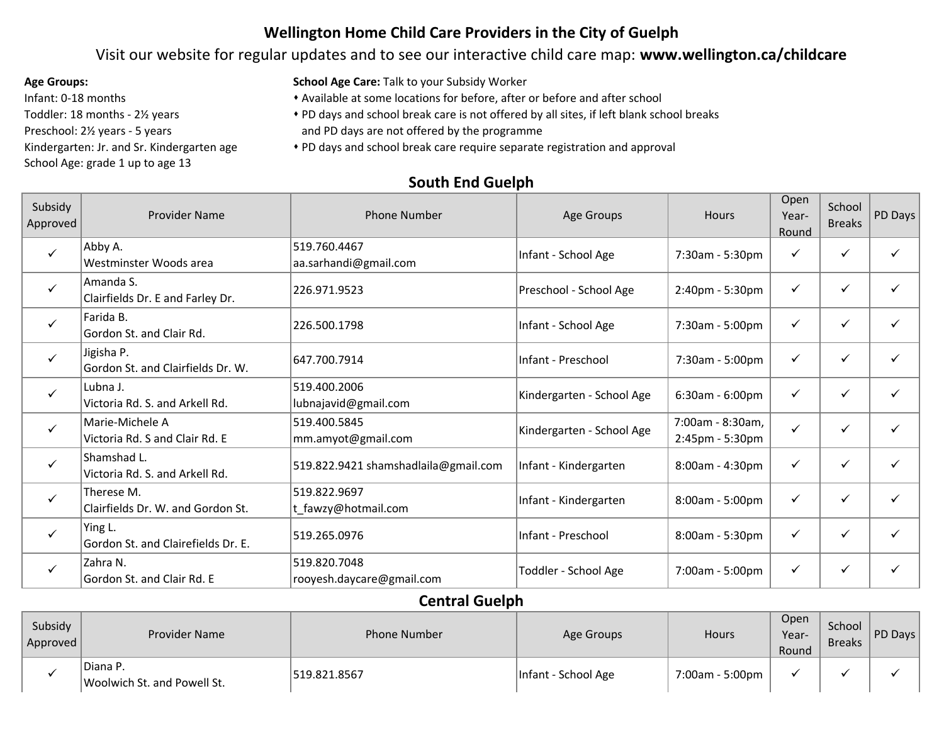## **Wellington Home Child Care Providers in the City of Guelph**

### Visit our website for regular updates and to see our interactive child care map: **www.wellington.ca/childcare**

Infant: 0-18 months Toddler: 18 months - 2½ years Preschool: 2½ years - 5 years Kindergarten: Jr. and Sr. Kindergarten age School Age: grade 1 up to age 13

**Age Groups: School Age Care:** Talk to your Subsidy Worker

\* Available at some locations for before, after or before and after school

\* PD days and school break care is not offered by all sites, if left blank school breaks

and PD days are not offered by the programme

s PD days and school break care require separate registration and approval

### Subsidy Approved Provider Name Phone Number Phone Number Age Groups Hours<br>Approved Provider Name Phone Number Age Groups Open Year-Round School Breaks PD Days  $\checkmark$ Abby A. Westminster Woods area 519.760.4467 aa.sarhandi@gmail.com Infant - School Age 7:30am - 5:30pm  $\checkmark$ Amanda S.  $\begin{array}{|c|c|c|c|c|c|c|c|c|}\hline \text{mindia 3.} & \text{and} & \text{Farley Dr.} & \text{[226.971.9523} & & \text{[14.80] Preschool - School Age} & & \text{[2:40pm - 5:30pm} & & \text{$\checkmark$} & & \text{$\checkmark$} & & \text{$\checkmark$} & & \text{$\checkmark$} & & \text{$\checkmark$} & & \text{$\checkmark$} & & \text{$\checkmark$} & & \text{$\checkmark$} & & \text{$\checkmark$} & & \text{$\checkmark$} & & \text{$\checkmark$} & &$  $\checkmark$ Farida B. Farida D.  $\begin{array}{c|c|c|c|c} \text{Total 5:} & \text{Total 6:} \\ \text{Second 6:} & \text{Total 7:30am - 5:00pm} & \checkmark & \checkmark & \checkmark \end{array}$  $\checkmark$ Jigisha P. Gordon St. and Clairfields Dr. W.  $\begin{vmatrix} 647.700.7914 & 1016 \\ 647.700.7914 & 1016 \\ 60 & 60 & 60 \end{vmatrix}$  T:30am - 5:00pm  $\begin{vmatrix} 647.700.7914 & 1016 \\ 647.700.7914 & 1016 \\ 64.7000 & 66.7000 \end{vmatrix}$  $\checkmark$ Lubna J. Victoria Rd. S. and Arkell Rd. 519.400.2006  $\begin{array}{c|c|c|c|c} \text{L13.400.2000} & \text{Kindergarten - School Age} & 6:30am - 6:00pm & \checkmark & \checkmark & \checkmark & \checkmark & \checkmark & \checkmark \end{array}$  $\checkmark$ Marie-Michele A Victoria Rd. S and Clair Rd. E 519.400.5845 519.400.5845 <br>mm.amyot@gmail.com Kindergarten - School Age 7:00am - 8:30am,<br>2:45pm - 5:30pm 2:45pm - 5:30pm  $\checkmark$   $\checkmark$   $\checkmark$   $\checkmark$  $\checkmark$ Shamshad L. Victoria Rd. S. and Arkell Rd.  $\begin{vmatrix} 519.822.9421 \text{ shamshadlaila@gmail.com} \end{vmatrix}$ Infant - Kindergarten  $\begin{vmatrix} 8.00 \text{am} - 4:30 \text{pm} \end{vmatrix}$   $\begin{vmatrix} 6 \text{cm} \\ 2 \text{cm} \end{vmatrix}$   $\begin{vmatrix} 6 \text{cm} \\ 2 \text{cm} \end{vmatrix}$   $\begin{vmatrix} 6 \text{cm} \\ 2 \text{cm} \end{vmatrix}$  $\checkmark$ Therese M. Clairfields Dr. W. and Gordon St. 519.822.9697  $\tau$ t\_fawzy@hotmail.com  $\begin{array}{|c|c|c|c|c|}\n\hline\n\end{array}$  Infant - Kindergarten  $\begin{array}{|c|c|c|c|c|}\n\hline\n\end{array}$  8:00am - 5:00pm  $\begin{array}{|c|c|c|c|}\n\hline\n\end{array}$   $\begin{array}{|c|c|c|c|}\n\hline\n\end{array}$   $\begin{array}{|c|c|c|c|}\n\hline\n\end{array}$  $\checkmark$ Ying L. Gordon St. and Clairefields Dr. E.  $\begin{vmatrix} 519.265.0976 \end{vmatrix}$  Sinfant - Preschool  $\begin{vmatrix} 8:00 \end{vmatrix}$  - 5:30pm  $\begin{vmatrix} 6:0 \end{vmatrix}$  -  $\begin{vmatrix} 6:0 \end{vmatrix}$  -  $\begin{vmatrix} 6:0 \end{vmatrix}$  -  $\begin{vmatrix} 6:0 \end{vmatrix}$  -  $\begin{vmatrix} 6:0 \end{vmatrix}$  -  $\begin{$  $\checkmark$ Zahra N. Gordon St. and Clair Rd. E 519.820.7048 PED:020:7040<br>|rooyesh.daycare@gmail.com | Toddler - School Age | 7:00am - 5:00pm | √ | √ | √

### **South End Guelph**

### **Central Guelph**

| Subsidy<br>Approved | <b>Provider Name</b>                    | <b>Phone Number</b> | Age Groups          | Hours           | Open<br>Year-<br>Round | School<br><b>Breaks</b> | PD Days |
|---------------------|-----------------------------------------|---------------------|---------------------|-----------------|------------------------|-------------------------|---------|
|                     | Diana P.<br>Woolwich St. and Powell St. | 519.821.8567        | Infant - School Age | 7:00am - 5:00pm |                        |                         |         |